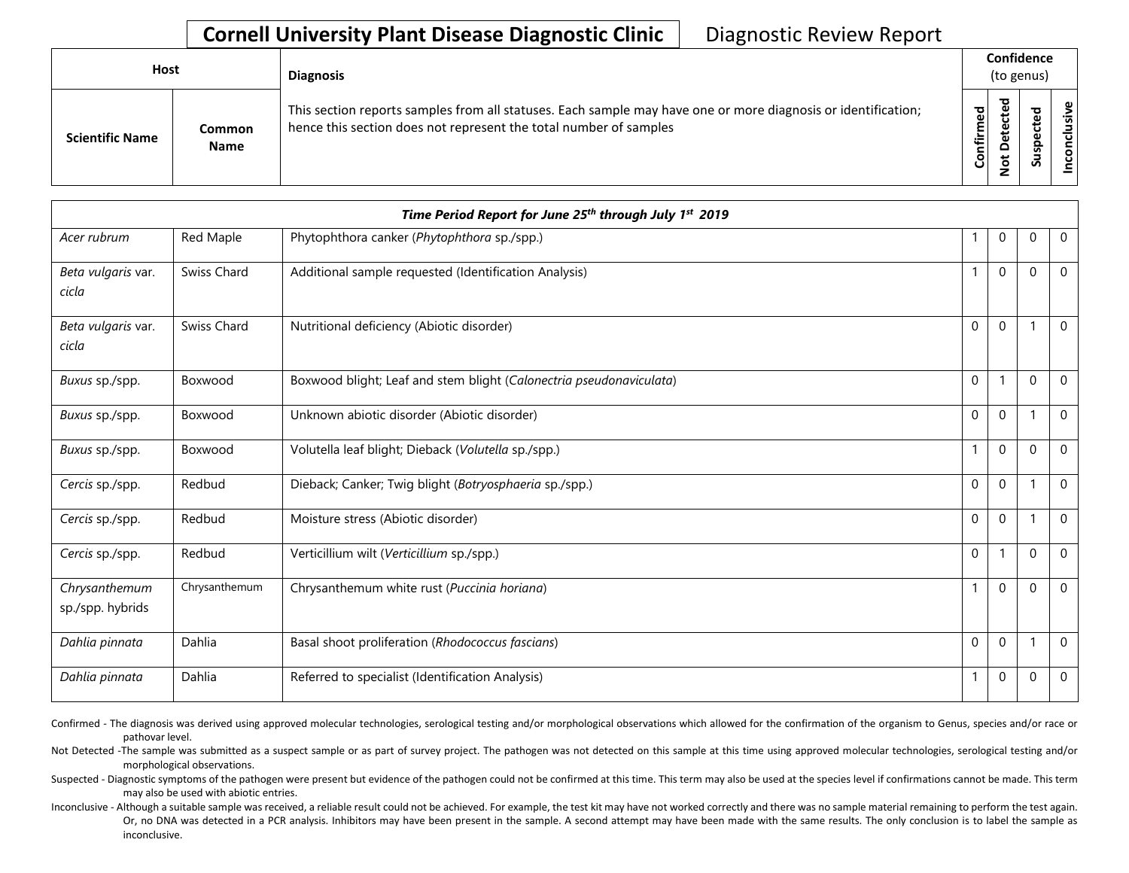## **Cornell University Plant Disease Diagnostic Clinic**

| <b>Diagnostic Review Report</b> |  |  |
|---------------------------------|--|--|
|---------------------------------|--|--|

| Host |                        |                       | <b>Diagnosis</b>                                                                                                                                                                   |             | Confidence<br>(to genus) |        |   |
|------|------------------------|-----------------------|------------------------------------------------------------------------------------------------------------------------------------------------------------------------------------|-------------|--------------------------|--------|---|
|      | <b>Scientific Name</b> | Common<br><b>Name</b> | This section reports samples from all statuses. Each sample may have one or more diagnosis or identification;<br>hence this section does not represent the total number of samples | ਠ<br>튐<br>ပ | ъ<br>ω<br>-              | w<br>, | ω |

|                                   | Time Period Report for June 25th through July 1st 2019 |                                                                     |             |             |          |                |  |  |
|-----------------------------------|--------------------------------------------------------|---------------------------------------------------------------------|-------------|-------------|----------|----------------|--|--|
| Acer rubrum                       | Red Maple                                              | Phytophthora canker (Phytophthora sp./spp.)                         |             | $\mathbf 0$ | $\Omega$ | $\mathbf 0$    |  |  |
| Beta vulgaris var.<br>cicla       | Swiss Chard                                            | Additional sample requested (Identification Analysis)               |             | $\mathbf 0$ | $\Omega$ | $\mathbf 0$    |  |  |
| Beta vulgaris var.<br>cicla       | Swiss Chard                                            | Nutritional deficiency (Abiotic disorder)                           | $\mathbf 0$ | $\mathbf 0$ |          | $\overline{0}$ |  |  |
| Buxus sp./spp.                    | Boxwood                                                | Boxwood blight; Leaf and stem blight (Calonectria pseudonaviculata) | $\mathbf 0$ |             | $\Omega$ | $\mathbf 0$    |  |  |
| Buxus sp./spp.                    | Boxwood                                                | Unknown abiotic disorder (Abiotic disorder)                         | $\mathbf 0$ | $\mathbf 0$ |          | $\mathbf 0$    |  |  |
| Buxus sp./spp.                    | Boxwood                                                | Volutella leaf blight; Dieback (Volutella sp./spp.)                 |             | $\mathbf 0$ | $\Omega$ | $\mathbf 0$    |  |  |
| Cercis sp./spp.                   | Redbud                                                 | Dieback; Canker; Twig blight (Botryosphaeria sp./spp.)              | $\mathbf 0$ | $\Omega$    |          | $\mathbf{0}$   |  |  |
| Cercis sp./spp.                   | Redbud                                                 | Moisture stress (Abiotic disorder)                                  | $\mathbf 0$ | $\mathbf 0$ |          | $\mathbf 0$    |  |  |
| Cercis sp./spp.                   | Redbud                                                 | Verticillium wilt (Verticillium sp./spp.)                           | $\mathbf 0$ |             | $\Omega$ | $\mathbf 0$    |  |  |
| Chrysanthemum<br>sp./spp. hybrids | Chrysanthemum                                          | Chrysanthemum white rust (Puccinia horiana)                         |             | $\mathbf 0$ | $\Omega$ | $\mathbf 0$    |  |  |
| Dahlia pinnata                    | Dahlia                                                 | Basal shoot proliferation (Rhodococcus fascians)                    | $\Omega$    | $\mathbf 0$ |          | $\Omega$       |  |  |
| Dahlia pinnata                    | Dahlia                                                 | Referred to specialist (Identification Analysis)                    |             | $\mathbf 0$ | $\Omega$ | $\mathbf 0$    |  |  |

Confirmed - The diagnosis was derived using approved molecular technologies, serological testing and/or morphological observations which allowed for the confirmation of the organism to Genus, species and/or race or pathovar level.

Not Detected -The sample was submitted as a suspect sample or as part of survey project. The pathogen was not detected on this sample at this time using approved molecular technologies, serological testing and/or morphological observations.

Suspected - Diagnostic symptoms of the pathogen were present but evidence of the pathogen could not be confirmed at this time. This term may also be used at the species level if confirmations cannot be made. This term may also be used with abiotic entries.

Inconclusive - Although a suitable sample was received, a reliable result could not be achieved. For example, the test kit may have not worked correctly and there was no sample material remaining to perform the test again. Or, no DNA was detected in a PCR analysis. Inhibitors may have been present in the sample. A second attempt may have been made with the same results. The only conclusion is to label the sample as inconclusive.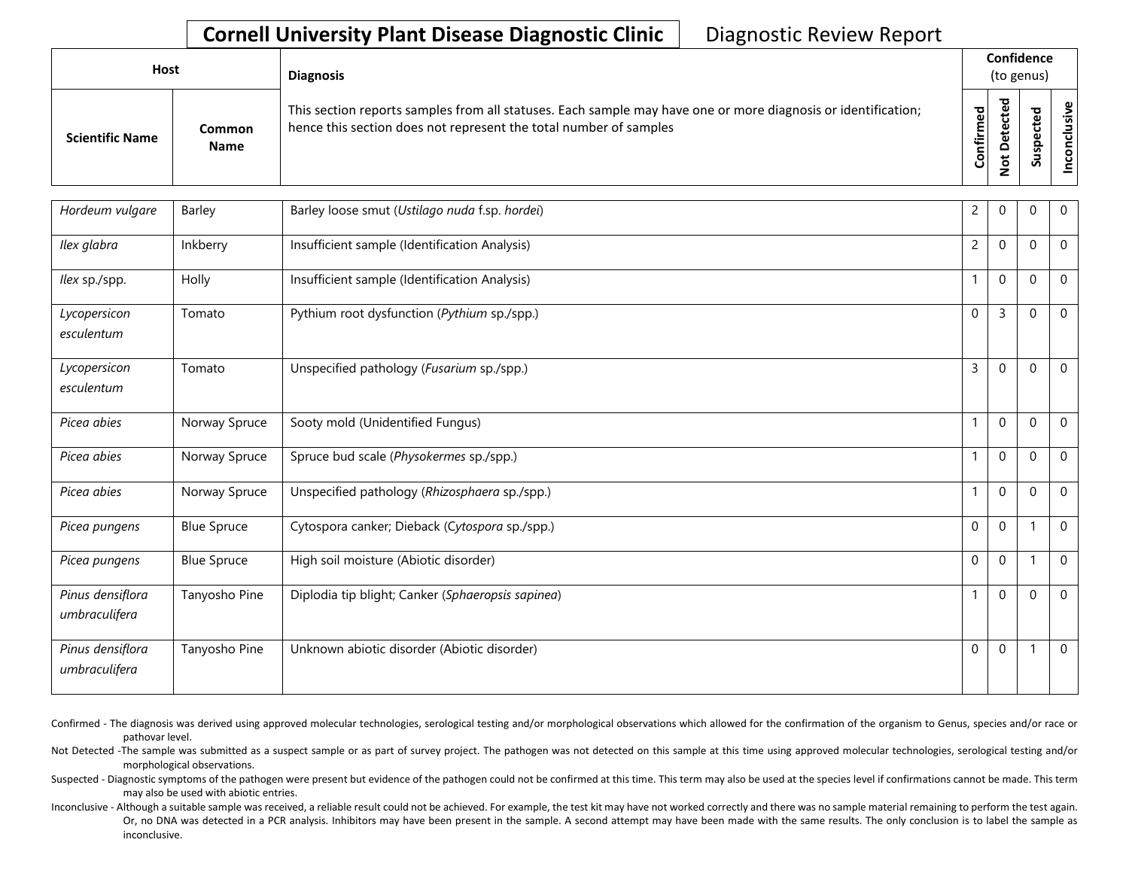### **Cornell University Plant Disease Diagnostic Clinic | Diagnostic Review Report**

| Host |                        |                       | <b>Diagnosis</b>                                                                                                                                                                   |           |                                  | Confidence<br>(to genus) |         |  |
|------|------------------------|-----------------------|------------------------------------------------------------------------------------------------------------------------------------------------------------------------------------|-----------|----------------------------------|--------------------------|---------|--|
|      | <b>Scientific Name</b> | Common<br><b>Name</b> | This section reports samples from all statuses. Each sample may have one or more diagnosis or identification;<br>hence this section does not represent the total number of samples | Confirmed | ᇃ<br>Φ<br>⊷<br>پ<br>$\circ$<br>– | s<br>S                   | ω<br>چ. |  |

| Hordeum vulgare                   | Barley             | Barley loose smut (Ustilago nuda f.sp. hordei)    | 2              | $\mathbf 0$      | 0           | $\mathbf 0$    |
|-----------------------------------|--------------------|---------------------------------------------------|----------------|------------------|-------------|----------------|
| Ilex glabra                       | Inkberry           | Insufficient sample (Identification Analysis)     | $\overline{c}$ | $\Omega$         | $\Omega$    | $\overline{0}$ |
| llex sp./spp.                     | Holly              | Insufficient sample (Identification Analysis)     |                | $\mathbf 0$      | $\Omega$    | $\mathbf 0$    |
| Lycopersicon<br>esculentum        | Tomato             | Pythium root dysfunction (Pythium sp./spp.)       | $\Omega$       | 3                | $\mathbf 0$ | $\mathbf 0$    |
| Lycopersicon<br>esculentum        | Tomato             | Unspecified pathology (Fusarium sp./spp.)         | 3              | $\mathbf{0}$     | $\Omega$    | $\mathbf 0$    |
| Picea abies                       | Norway Spruce      | Sooty mold (Unidentified Fungus)                  |                | $\mathbf 0$      | $\Omega$    | $\mathbf 0$    |
| Picea abies                       | Norway Spruce      | Spruce bud scale (Physokermes sp./spp.)           |                | $\boldsymbol{0}$ | 0           | $\mathbf 0$    |
| Picea abies                       | Norway Spruce      | Unspecified pathology (Rhizosphaera sp./spp.)     |                | $\mathbf 0$      | $\Omega$    | $\mathbf 0$    |
| Picea pungens                     | <b>Blue Spruce</b> | Cytospora canker; Dieback (Cytospora sp./spp.)    | $\Omega$       | $\Omega$         |             | $\mathbf 0$    |
| Picea pungens                     | <b>Blue Spruce</b> | High soil moisture (Abiotic disorder)             | $\Omega$       | $\mathbf{0}$     |             | $\mathbf 0$    |
| Pinus densiflora<br>umbraculifera | Tanyosho Pine      | Diplodia tip blight; Canker (Sphaeropsis sapinea) |                | $\mathbf 0$      | 0           | $\mathbf 0$    |
| Pinus densiflora<br>umbraculifera | Tanyosho Pine      | Unknown abiotic disorder (Abiotic disorder)       | $\mathbf 0$    | $\mathbf 0$      |             | $\mathbf 0$    |

- Confirmed The diagnosis was derived using approved molecular technologies, serological testing and/or morphological observations which allowed for the confirmation of the organism to Genus, species and/or race or pathovar level.
- Not Detected -The sample was submitted as a suspect sample or as part of survey project. The pathogen was not detected on this sample at this time using approved molecular technologies, serological testing and/or morphological observations.
- Suspected Diagnostic symptoms of the pathogen were present but evidence of the pathogen could not be confirmed at this time. This term may also be used at the species level if confirmations cannot be made. This term may also be used with abiotic entries.
- Inconclusive Although a suitable sample was received, a reliable result could not be achieved. For example, the test kit may have not worked correctly and there was no sample material remaining to perform the test again. Or, no DNA was detected in a PCR analysis. Inhibitors may have been present in the sample. A second attempt may have been made with the same results. The only conclusion is to label the sample as inconclusive.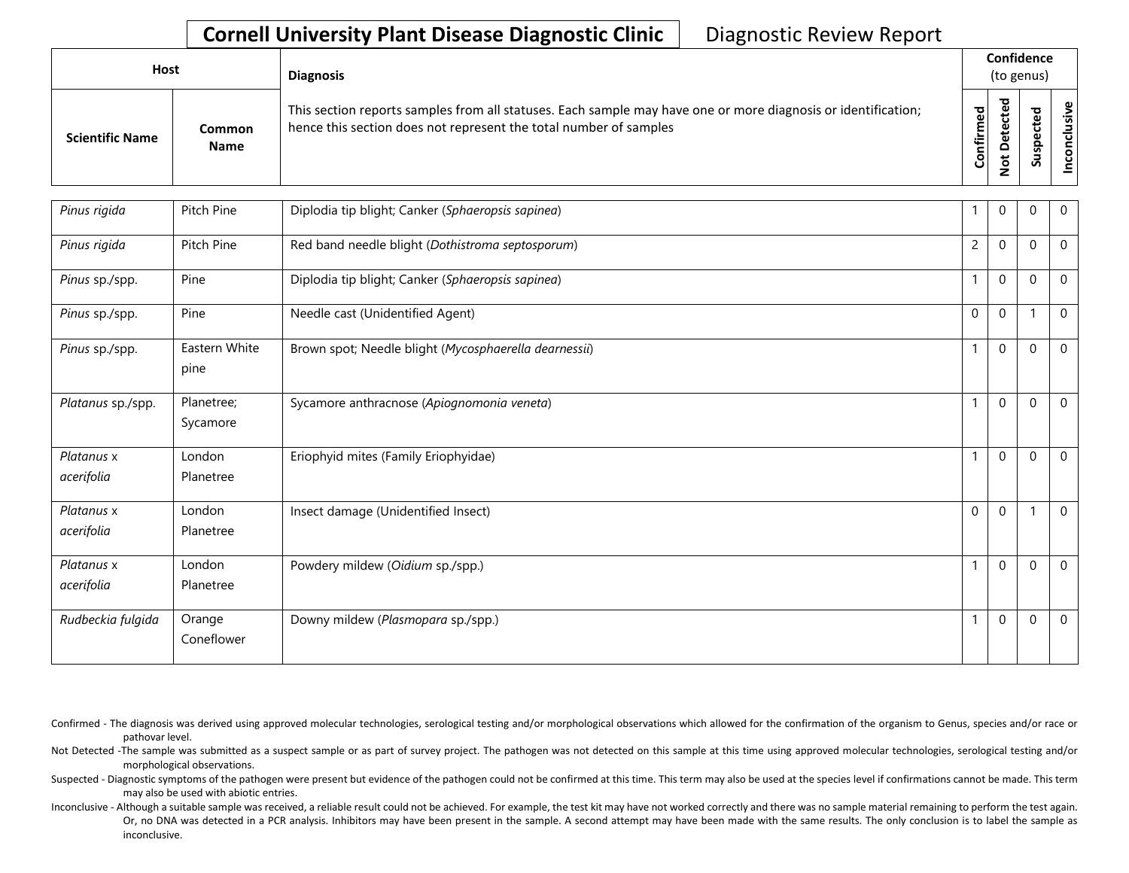### **Cornell University Plant Disease Diagnostic Clinic** | Diagnostic Review Report

| Host |                        |                              | <b>Diagnosis</b>                                                                                                                                                                   |           |                       | Confidence<br>(to genus) |               |  |
|------|------------------------|------------------------------|------------------------------------------------------------------------------------------------------------------------------------------------------------------------------------|-----------|-----------------------|--------------------------|---------------|--|
|      | <b>Scientific Name</b> | <b>Common</b><br><b>Name</b> | This section reports samples from all statuses. Each sample may have one or more diagnosis or identification;<br>hence this section does not represent the total number of samples | Confirmed | ᇃ<br>Φ<br>e<br>≏<br>پ | n                        | ω<br>šΣ<br>᠊ᠣ |  |

| Pinus rigida             | Pitch Pine             | Diplodia tip blight; Canker (Sphaeropsis sapinea)     | $\mathbf{1}$ | $\Omega$     | $\Omega$ | $\overline{0}$ |
|--------------------------|------------------------|-------------------------------------------------------|--------------|--------------|----------|----------------|
| Pinus rigida             | Pitch Pine             | Red band needle blight (Dothistroma septosporum)      | 2            | $\Omega$     | $\Omega$ | $\overline{0}$ |
| Pinus sp./spp.           | Pine                   | Diplodia tip blight; Canker (Sphaeropsis sapinea)     | $\mathbf{1}$ | $\Omega$     | $\Omega$ | $\mathbf 0$    |
| Pinus sp./spp.           | Pine                   | Needle cast (Unidentified Agent)                      | $\mathbf{0}$ | $\Omega$     |          | $\mathbf 0$    |
| Pinus sp./spp.           | Eastern White<br>pine  | Brown spot; Needle blight (Mycosphaerella dearnessii) | $\mathbf{1}$ | $\mathbf{0}$ | $\Omega$ | $\mathbf 0$    |
| Platanus sp./spp.        | Planetree;<br>Sycamore | Sycamore anthracnose (Apiognomonia veneta)            | $\mathbf{1}$ | $\mathbf{0}$ | $\Omega$ | $\mathbf 0$    |
| Platanus x<br>acerifolia | London<br>Planetree    | Eriophyid mites (Family Eriophyidae)                  | $\mathbf{1}$ | $\mathbf 0$  | $\Omega$ | $\overline{0}$ |
| Platanus x<br>acerifolia | London<br>Planetree    | Insect damage (Unidentified Insect)                   | $\mathbf{0}$ | $\mathbf{0}$ |          | $\mathbf 0$    |
| Platanus x<br>acerifolia | London<br>Planetree    | Powdery mildew (Oidium sp./spp.)                      | $\mathbf{1}$ | $\Omega$     | $\Omega$ | $\overline{0}$ |
| Rudbeckia fulgida        | Orange<br>Coneflower   | Downy mildew (Plasmopara sp./spp.)                    | $\mathbf{1}$ | $\mathbf{0}$ | $\Omega$ | $\overline{0}$ |

- Confirmed The diagnosis was derived using approved molecular technologies, serological testing and/or morphological observations which allowed for the confirmation of the organism to Genus, species and/or race or pathovar level.
- Not Detected -The sample was submitted as a suspect sample or as part of survey project. The pathogen was not detected on this sample at this time using approved molecular technologies, serological testing and/or morphological observations.
- Suspected Diagnostic symptoms of the pathogen were present but evidence of the pathogen could not be confirmed at this time. This term may also be used at the species level if confirmations cannot be made. This term may also be used with abiotic entries.
- Inconclusive Although a suitable sample was received, a reliable result could not be achieved. For example, the test kit may have not worked correctly and there was no sample material remaining to perform the test again. Or, no DNA was detected in a PCR analysis. Inhibitors may have been present in the sample. A second attempt may have been made with the same results. The only conclusion is to label the sample as inconclusive.